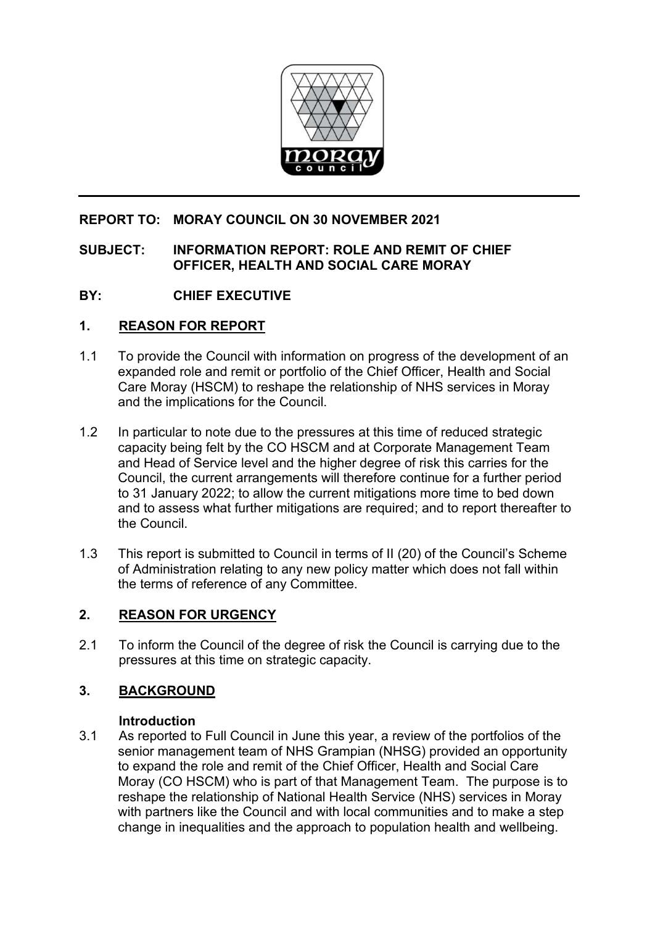

# **REPORT TO: MORAY COUNCIL ON 30 NOVEMBER 2021**

## **SUBJECT: INFORMATION REPORT: ROLE AND REMIT OF CHIEF OFFICER, HEALTH AND SOCIAL CARE MORAY**

# **BY: CHIEF EXECUTIVE**

# **1. REASON FOR REPORT**

- 1.1 To provide the Council with information on progress of the development of an expanded role and remit or portfolio of the Chief Officer, Health and Social Care Moray (HSCM) to reshape the relationship of NHS services in Moray and the implications for the Council.
- 1.2 In particular to note due to the pressures at this time of reduced strategic capacity being felt by the CO HSCM and at Corporate Management Team and Head of Service level and the higher degree of risk this carries for the Council, the current arrangements will therefore continue for a further period to 31 January 2022; to allow the current mitigations more time to bed down and to assess what further mitigations are required; and to report thereafter to the Council.
- 1.3 This report is submitted to Council in terms of II (20) of the Council's Scheme of Administration relating to any new policy matter which does not fall within the terms of reference of any Committee.

# **2. REASON FOR URGENCY**

2.1 To inform the Council of the degree of risk the Council is carrying due to the pressures at this time on strategic capacity.

# **3. BACKGROUND**

### **Introduction**

3.1 As reported to Full Council in June this year, a review of the portfolios of the senior management team of NHS Grampian (NHSG) provided an opportunity to expand the role and remit of the Chief Officer, Health and Social Care Moray (CO HSCM) who is part of that Management Team. The purpose is to reshape the relationship of National Health Service (NHS) services in Moray with partners like the Council and with local communities and to make a step change in inequalities and the approach to population health and wellbeing.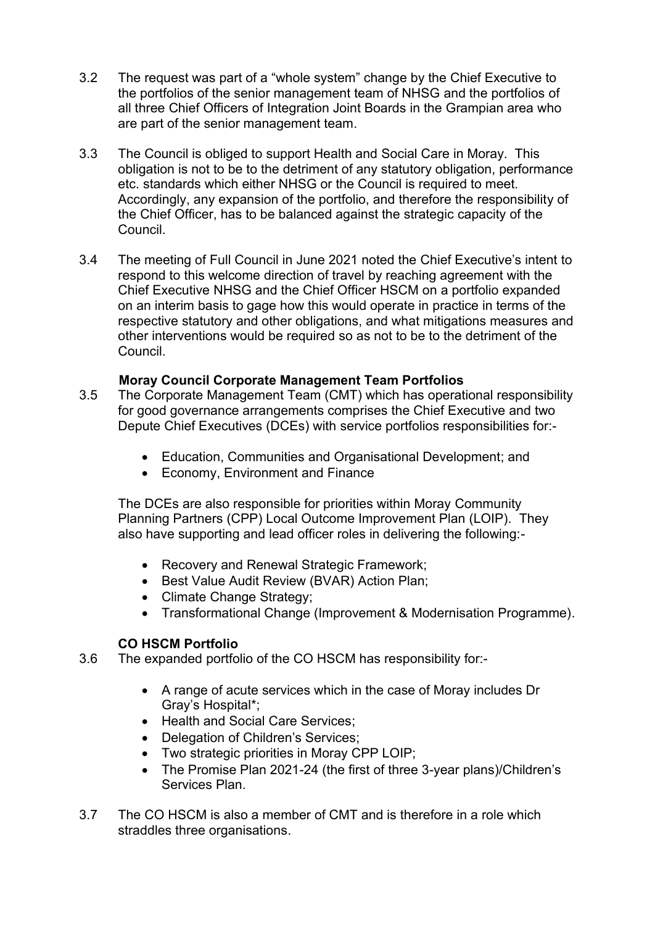- 3.2 The request was part of a "whole system" change by the Chief Executive to the portfolios of the senior management team of NHSG and the portfolios of all three Chief Officers of Integration Joint Boards in the Grampian area who are part of the senior management team.
- 3.3 The Council is obliged to support Health and Social Care in Moray. This obligation is not to be to the detriment of any statutory obligation, performance etc. standards which either NHSG or the Council is required to meet. Accordingly, any expansion of the portfolio, and therefore the responsibility of the Chief Officer, has to be balanced against the strategic capacity of the **Council**
- 3.4 The meeting of Full Council in June 2021 noted the Chief Executive's intent to respond to this welcome direction of travel by reaching agreement with the Chief Executive NHSG and the Chief Officer HSCM on a portfolio expanded on an interim basis to gage how this would operate in practice in terms of the respective statutory and other obligations, and what mitigations measures and other interventions would be required so as not to be to the detriment of the Council.

# **Moray Council Corporate Management Team Portfolios**

- 3.5 The Corporate Management Team (CMT) which has operational responsibility for good governance arrangements comprises the Chief Executive and two Depute Chief Executives (DCEs) with service portfolios responsibilities for:-
	- Education, Communities and Organisational Development; and
	- Economy, Environment and Finance

The DCEs are also responsible for priorities within Moray Community Planning Partners (CPP) Local Outcome Improvement Plan (LOIP). They also have supporting and lead officer roles in delivering the following:-

- Recovery and Renewal Strategic Framework;
- Best Value Audit Review (BVAR) Action Plan;
- Climate Change Strategy;
- Transformational Change (Improvement & Modernisation Programme).

### **CO HSCM Portfolio**

- 3.6 The expanded portfolio of the CO HSCM has responsibility for:-
	- A range of acute services which in the case of Moray includes Dr Gray's Hospital\*;
	- Health and Social Care Services;
	- Delegation of Children's Services;
	- Two strategic priorities in Moray CPP LOIP;
	- The Promise Plan 2021-24 (the first of three 3-year plans)/Children's Services Plan.
- 3.7 The CO HSCM is also a member of CMT and is therefore in a role which straddles three organisations.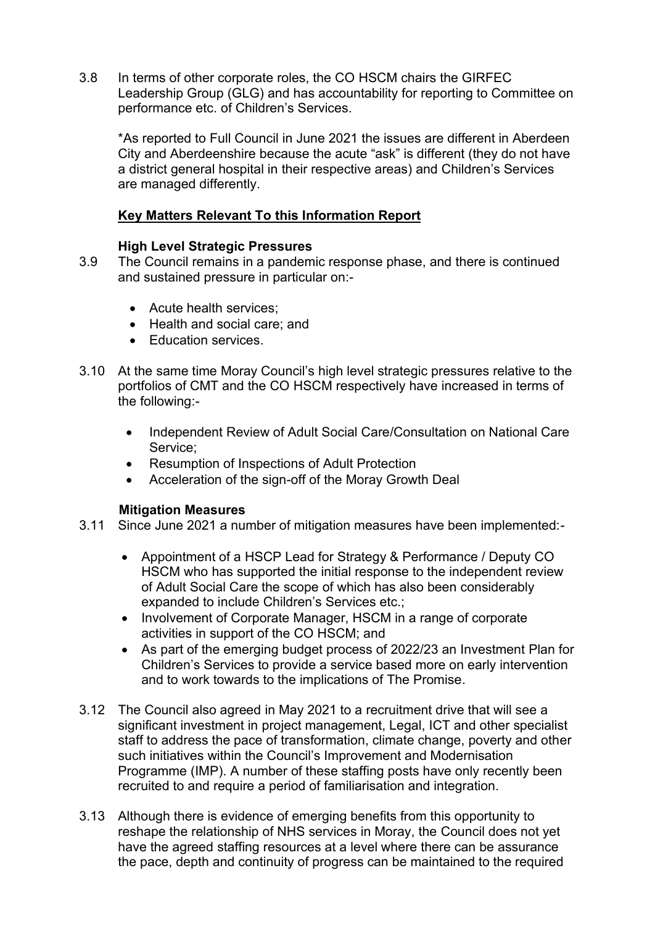3.8 In terms of other corporate roles, the CO HSCM chairs the GIRFEC Leadership Group (GLG) and has accountability for reporting to Committee on performance etc. of Children's Services.

\*As reported to Full Council in June 2021 the issues are different in Aberdeen City and Aberdeenshire because the acute "ask" is different (they do not have a district general hospital in their respective areas) and Children's Services are managed differently.

### **Key Matters Relevant To this Information Report**

### **High Level Strategic Pressures**

- 3.9 The Council remains in a pandemic response phase, and there is continued and sustained pressure in particular on:-
	- Acute health services;
	- Health and social care; and
	- Education services.
- 3.10 At the same time Moray Council's high level strategic pressures relative to the portfolios of CMT and the CO HSCM respectively have increased in terms of the following:-
	- Independent Review of Adult Social Care/Consultation on National Care Service;
	- Resumption of Inspections of Adult Protection
	- Acceleration of the sign-off of the Moray Growth Deal

#### **Mitigation Measures**

- 3.11 Since June 2021 a number of mitigation measures have been implemented:-
	- Appointment of a HSCP Lead for Strategy & Performance / Deputy CO HSCM who has supported the initial response to the independent review of Adult Social Care the scope of which has also been considerably expanded to include Children's Services etc.;
	- Involvement of Corporate Manager, HSCM in a range of corporate activities in support of the CO HSCM; and
	- As part of the emerging budget process of 2022/23 an Investment Plan for Children's Services to provide a service based more on early intervention and to work towards to the implications of The Promise.
- 3.12 The Council also agreed in May 2021 to a recruitment drive that will see a significant investment in project management, Legal, ICT and other specialist staff to address the pace of transformation, climate change, poverty and other such initiatives within the Council's Improvement and Modernisation Programme (IMP). A number of these staffing posts have only recently been recruited to and require a period of familiarisation and integration.
- 3.13 Although there is evidence of emerging benefits from this opportunity to reshape the relationship of NHS services in Moray, the Council does not yet have the agreed staffing resources at a level where there can be assurance the pace, depth and continuity of progress can be maintained to the required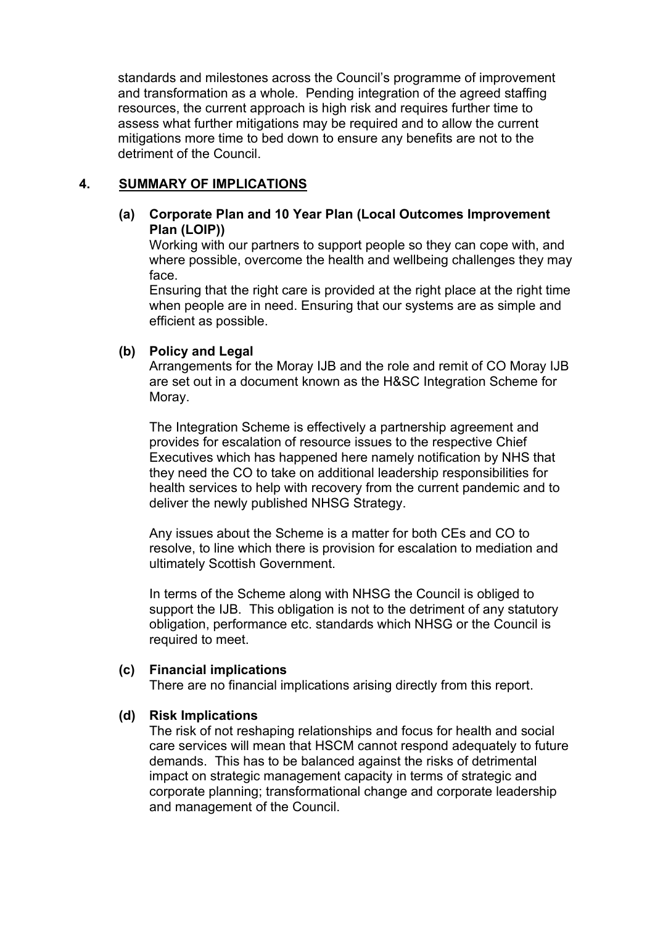standards and milestones across the Council's programme of improvement and transformation as a whole. Pending integration of the agreed staffing resources, the current approach is high risk and requires further time to assess what further mitigations may be required and to allow the current mitigations more time to bed down to ensure any benefits are not to the detriment of the Council.

## **4. SUMMARY OF IMPLICATIONS**

### **(a) Corporate Plan and 10 Year Plan (Local Outcomes Improvement Plan (LOIP))**

Working with our partners to support people so they can cope with, and where possible, overcome the health and wellbeing challenges they may face.

Ensuring that the right care is provided at the right place at the right time when people are in need. Ensuring that our systems are as simple and efficient as possible.

### **(b) Policy and Legal**

Arrangements for the Moray IJB and the role and remit of CO Moray IJB are set out in a document known as the H&SC Integration Scheme for Moray.

The Integration Scheme is effectively a partnership agreement and provides for escalation of resource issues to the respective Chief Executives which has happened here namely notification by NHS that they need the CO to take on additional leadership responsibilities for health services to help with recovery from the current pandemic and to deliver the newly published NHSG Strategy.

Any issues about the Scheme is a matter for both CEs and CO to resolve, to line which there is provision for escalation to mediation and ultimately Scottish Government.

In terms of the Scheme along with NHSG the Council is obliged to support the IJB. This obligation is not to the detriment of any statutory obligation, performance etc. standards which NHSG or the Council is required to meet.

### **(c) Financial implications**

There are no financial implications arising directly from this report.

### **(d) Risk Implications**

The risk of not reshaping relationships and focus for health and social care services will mean that HSCM cannot respond adequately to future demands. This has to be balanced against the risks of detrimental impact on strategic management capacity in terms of strategic and corporate planning; transformational change and corporate leadership and management of the Council.